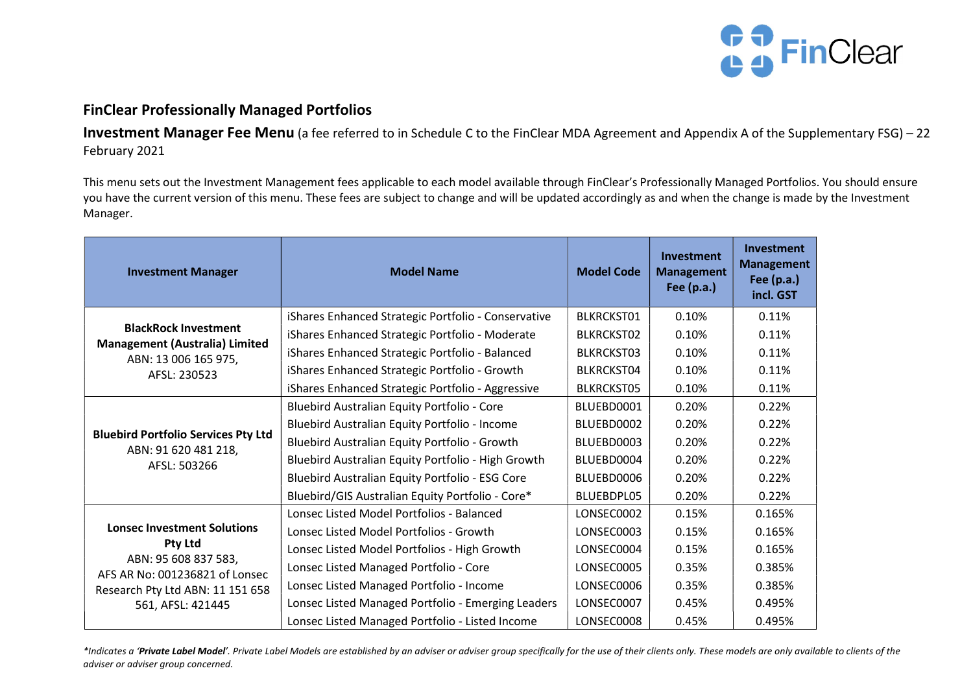

## FinClear Professionally Managed Portfolios

Investment Manager Fee Menu (a fee referred to in Schedule C to the FinClear MDA Agreement and Appendix A of the Supplementary FSG) - 22 February 2021

This menu sets out the Investment Management fees applicable to each model available through FinClear's Professionally Managed Portfolios. You should ensure you have the current version of this menu. These fees are subject to change and will be updated accordingly as and when the change is made by the Investment Manager.

| <b>Investment Manager</b>                                                                                                                                        | <b>Model Name</b>                                   | <b>Model Code</b> | <b>Investment</b><br><b>Management</b><br><b>Fee (p.a.)</b> | Investment<br><b>Management</b><br>Fee $(p.a.)$<br>incl. GST |
|------------------------------------------------------------------------------------------------------------------------------------------------------------------|-----------------------------------------------------|-------------------|-------------------------------------------------------------|--------------------------------------------------------------|
| <b>BlackRock Investment</b><br><b>Management (Australia) Limited</b><br>ABN: 13 006 165 975,<br>AFSL: 230523                                                     | iShares Enhanced Strategic Portfolio - Conservative | BLKRCKST01        | 0.10%                                                       | 0.11%                                                        |
|                                                                                                                                                                  | iShares Enhanced Strategic Portfolio - Moderate     | <b>BLKRCKST02</b> | 0.10%                                                       | 0.11%                                                        |
|                                                                                                                                                                  | iShares Enhanced Strategic Portfolio - Balanced     | <b>BLKRCKST03</b> | 0.10%                                                       | 0.11%                                                        |
|                                                                                                                                                                  | iShares Enhanced Strategic Portfolio - Growth       | BLKRCKST04        | 0.10%                                                       | 0.11%                                                        |
|                                                                                                                                                                  | iShares Enhanced Strategic Portfolio - Aggressive   | <b>BLKRCKST05</b> | 0.10%                                                       | 0.11%                                                        |
| <b>Bluebird Portfolio Services Pty Ltd</b><br>ABN: 91 620 481 218,<br>AFSL: 503266                                                                               | Bluebird Australian Equity Portfolio - Core         | BLUEBD0001        | 0.20%                                                       | 0.22%                                                        |
|                                                                                                                                                                  | Bluebird Australian Equity Portfolio - Income       | BLUEBD0002        | 0.20%                                                       | 0.22%                                                        |
|                                                                                                                                                                  | Bluebird Australian Equity Portfolio - Growth       | BLUEBD0003        | 0.20%                                                       | 0.22%                                                        |
|                                                                                                                                                                  | Bluebird Australian Equity Portfolio - High Growth  | BLUEBD0004        | 0.20%                                                       | 0.22%                                                        |
|                                                                                                                                                                  | Bluebird Australian Equity Portfolio - ESG Core     | BLUEBD0006        | 0.20%                                                       | 0.22%                                                        |
|                                                                                                                                                                  | Bluebird/GIS Australian Equity Portfolio - Core*    | BLUEBDPL05        | 0.20%                                                       | 0.22%                                                        |
| <b>Lonsec Investment Solutions</b><br>Pty Ltd<br>ABN: 95 608 837 583,<br>AFS AR No: 001236821 of Lonsec<br>Research Pty Ltd ABN: 11 151 658<br>561, AFSL: 421445 | Lonsec Listed Model Portfolios - Balanced           | LONSEC0002        | 0.15%                                                       | 0.165%                                                       |
|                                                                                                                                                                  | Lonsec Listed Model Portfolios - Growth             | LONSEC0003        | 0.15%                                                       | 0.165%                                                       |
|                                                                                                                                                                  | Lonsec Listed Model Portfolios - High Growth        | LONSEC0004        | 0.15%                                                       | 0.165%                                                       |
|                                                                                                                                                                  | Lonsec Listed Managed Portfolio - Core              | LONSEC0005        | 0.35%                                                       | 0.385%                                                       |
|                                                                                                                                                                  | Lonsec Listed Managed Portfolio - Income            | LONSEC0006        | 0.35%                                                       | 0.385%                                                       |
|                                                                                                                                                                  | Lonsec Listed Managed Portfolio - Emerging Leaders  | LONSEC0007        | 0.45%                                                       | 0.495%                                                       |
|                                                                                                                                                                  | Lonsec Listed Managed Portfolio - Listed Income     | LONSEC0008        | 0.45%                                                       | 0.495%                                                       |

\*Indicates a 'Private Label Model'. Private Label Models are established by an adviser or adviser group specifically for the use of their clients only. These models are only available to clients of the adviser or adviser group concerned.